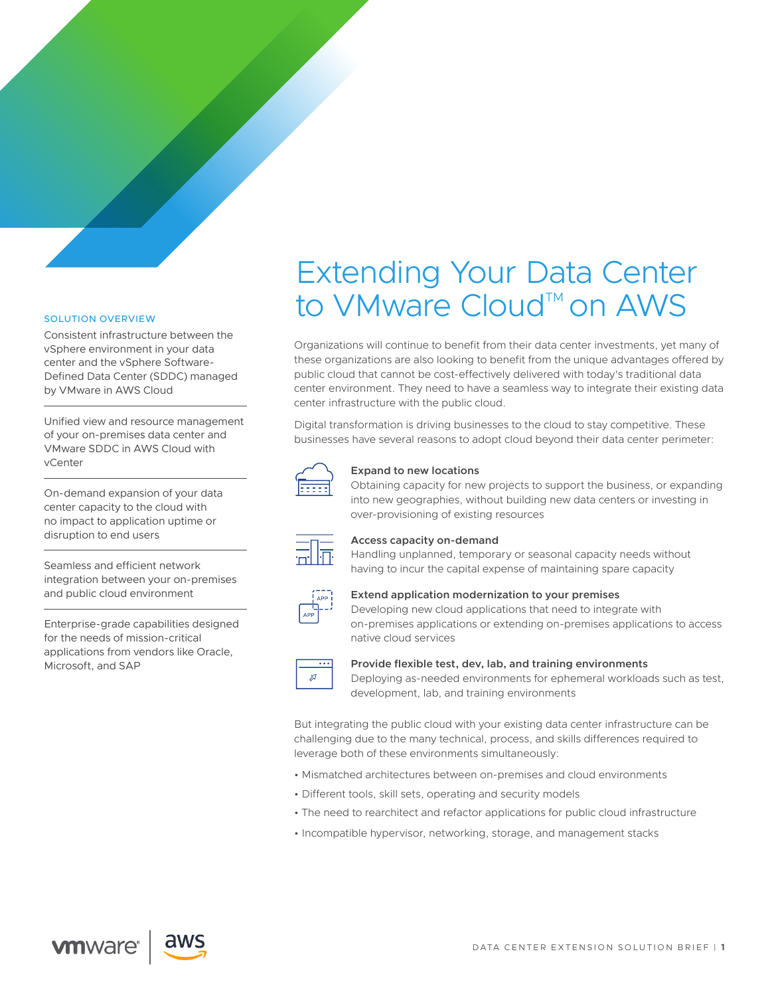# Extending Your Data Center to VMware Cloud™ on AWS

Organizations will continue to benefit from their data center investments, yet many of these organizations are also looking to benefit from the unique advantages offered by public cloud that cannot be cost-effectively delivered with today's traditional data center environment. They need to have a seamless way to integrate their existing data center infrastructure with the public cloud.

Digital transformation is driving businesses to the cloud to stay competitive. These businesses have several reasons to adopt cloud beyond their data center perimeter:



# **Expand to new locations**

Obtaining capacity for new projects to support the business, or expanding into new geographies, without building new data centers or investing in over-provisioning of existing resources



# **Access capacity on-demand**

Handling unplanned, temporary or seasonal capacity needs without having to incur the capital expense of maintaining spare capacity



# **Extend application modernization to your premises**

Developing new cloud applications that need to integrate with on-premises applications or extending on-premises applications to access native cloud services



# **Provide flexible test, dev, lab, and training environments**

Deploying as-needed environments for ephemeral workloads such as test, development, lab, and training environments

But integrating the public cloud with your existing data center infrastructure can be challenging due to the many technical, process, and skills differences required to leverage both of these environments simultaneously:

- Mismatched architectures between on-premises and cloud environments
- Different tools, skill sets, operating and security models
- The need to rearchitect and refactor applications for public cloud infrastructure
- Incompatible hypervisor, networking, storage, and management stacks

**vm**ware<sup>®</sup>

SOLUTION OVERVIEW

by VMware in AWS Cloud

disruption to end users

Microsoft, and SAP

vCenter

Consistent infrastructure between the vSphere environment in your data center and the vSphere Software-Defined Data Center (SDDC) managed

Unified view and resource management of your on-premises data center and VMware SDDC in AWS Cloud with

On-demand expansion of your data center capacity to the cloud with no impact to application uptime or

Seamless and efficient network integration between your on-premises and public cloud environment

Enterprise-grade capabilities designed for the needs of mission-critical applications from vendors like Oracle,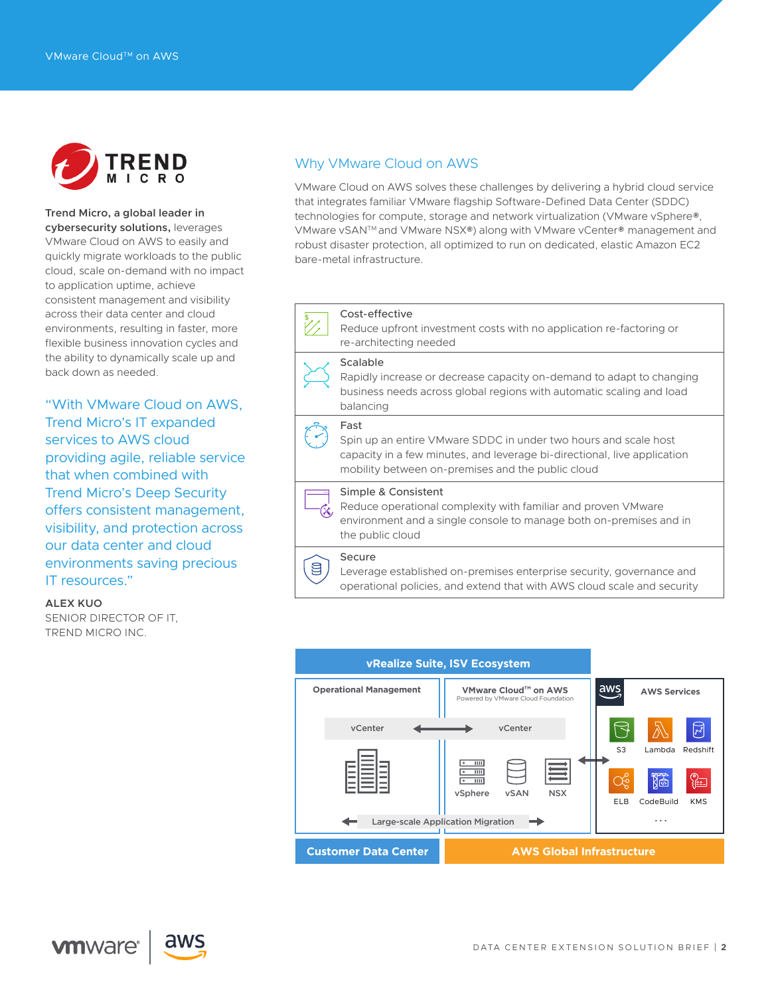

# **Trend Micro, a global leader in**

**cybersecurity solutions,** leverages VMware Cloud on AWS to easily and quickly migrate workloads to the public cloud, scale on-demand with no impact to application uptime, achieve consistent management and visibility across their data center and cloud environments, resulting in faster, more flexible business innovation cycles and the ability to dynamically scale up and back down as needed.

"With VMware Cloud on AWS, Trend Micro's IT expanded services to AWS cloud providing agile, reliable service that when combined with Trend Micro's Deep Security offers consistent management, visibility, and protection across our data center and cloud environments saving precious IT resources."

#### **ALEX KUO**

SENIOR DIRECTOR OF IT, TREND MICRO INC.

# Why VMware Cloud on AWS

VMware Cloud on AWS solves these challenges by delivering a hybrid cloud service that integrates familiar VMware flagship Software-Defined Data Center (SDDC) technologies for compute, storage and network virtualization (VMware vSphere®, VMware vSANTM and VMware NSX®) along with VMware vCenter® management and robust disaster protection, all optimized to run on dedicated, elastic Amazon EC2 bare-metal infrastructure.

#### Cost-effective

Reduce upfront investment costs with no application re-factoring or re-architecting needed

# Scalable

Rapidly increase or decrease capacity on-demand to adapt to changing business needs across global regions with automatic scaling and load balancing

# Fast

Spin up an entire VMware SDDC in under two hours and scale host capacity in a few minutes, and leverage bi-directional, live application mobility between on-premises and the public cloud

Simple & Consistent Reduce operational complexity with familiar and proven VMware environment and a single console to manage both on-premises and in the public cloud

# Secure

g

Leverage established on-premises enterprise security, governance and operational policies, and extend that with AWS cloud scale and security